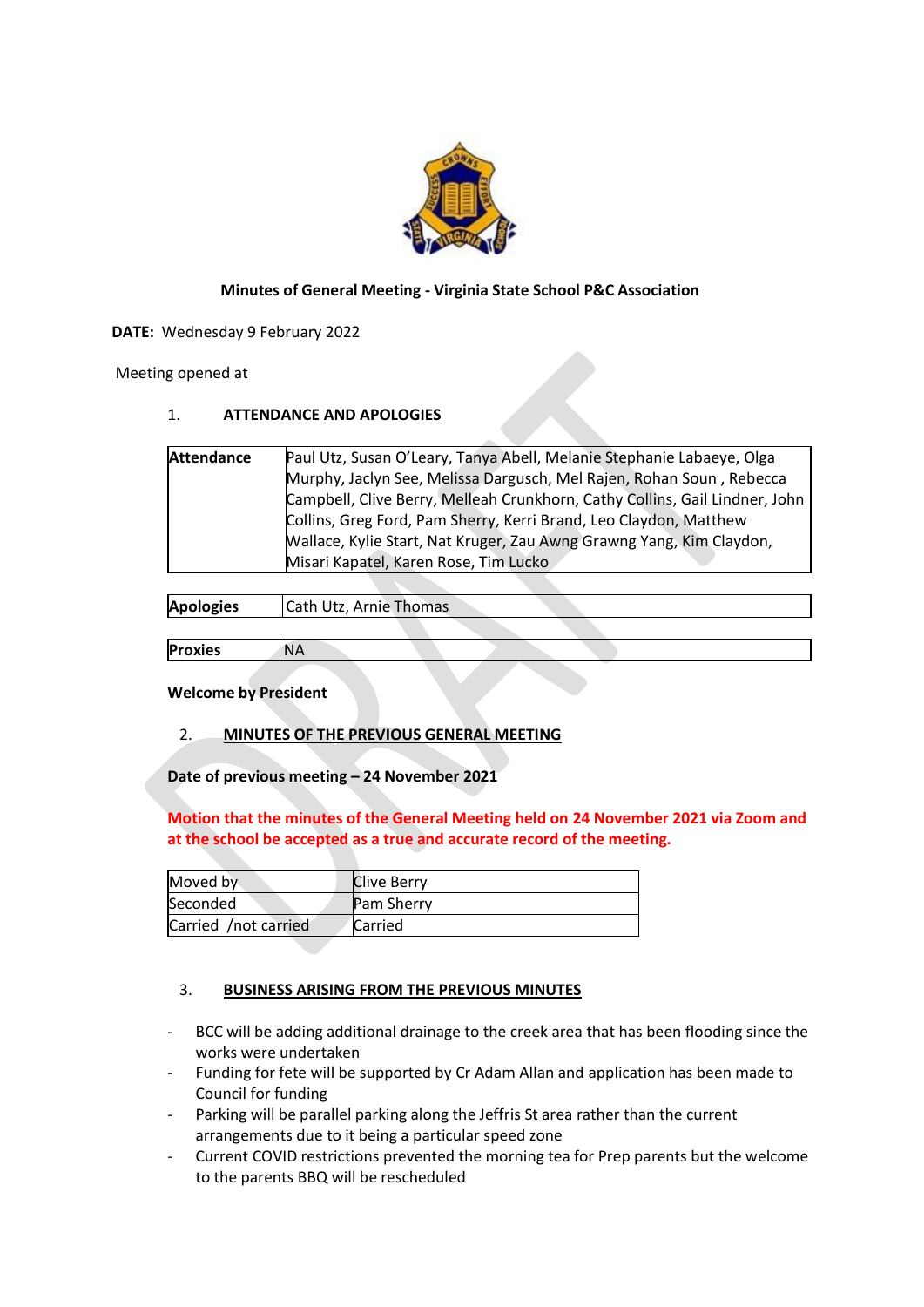

# **Minutes of General Meeting - Virginia State School P&C Association**

**DATE:**  Wednesday 9 February 2022

 Meeting opened at

# 1. **ATTENDANCE AND APOLOGIES**

| <b>Attendance</b> | Paul Utz, Susan O'Leary, Tanya Abell, Melanie Stephanie Labaeye, Olga       |
|-------------------|-----------------------------------------------------------------------------|
|                   | Murphy, Jaclyn See, Melissa Dargusch, Mel Rajen, Rohan Soun, Rebecca        |
|                   | Campbell, Clive Berry, Melleah Crunkhorn, Cathy Collins, Gail Lindner, John |
|                   | Collins, Greg Ford, Pam Sherry, Kerri Brand, Leo Claydon, Matthew           |
|                   | Wallace, Kylie Start, Nat Kruger, Zau Awng Grawng Yang, Kim Claydon,        |
|                   | Misari Kapatel, Karen Rose, Tim Lucko                                       |
|                   |                                                                             |

| <b>Apologies</b> | Cath Utz, Arnie Thomas |  |  |
|------------------|------------------------|--|--|
|                  |                        |  |  |
| <b>Proxies</b>   | <b>NA</b>              |  |  |

### **Welcome by President**

2. **MINUTES OF THE PREVIOUS GENERAL MEETING**

**Date of previous meeting – 24 November 2021**

**Motion that the minutes of the General Meeting held on 24 November 2021 via Zoom and at the school be accepted as a true and accurate record of the meeting.**

| Moved by             | <b>Clive Berry</b> |
|----------------------|--------------------|
| Seconded             | <b>Pam Sherry</b>  |
| Carried /not carried | Carried            |

# 3. **BUSINESS ARISING FROM THE PREVIOUS MINUTES**

- BCC will be adding additional drainage to the creek area that has been flooding since the works were undertaken
- Funding for fete will be supported by Cr Adam Allan and application has been made to Council for funding
- Parking will be parallel parking along the Jeffris St area rather than the current arrangements due to it being a particular speed zone
- Current COVID restrictions prevented the morning tea for Prep parents but the welcome to the parents BBQ will be rescheduled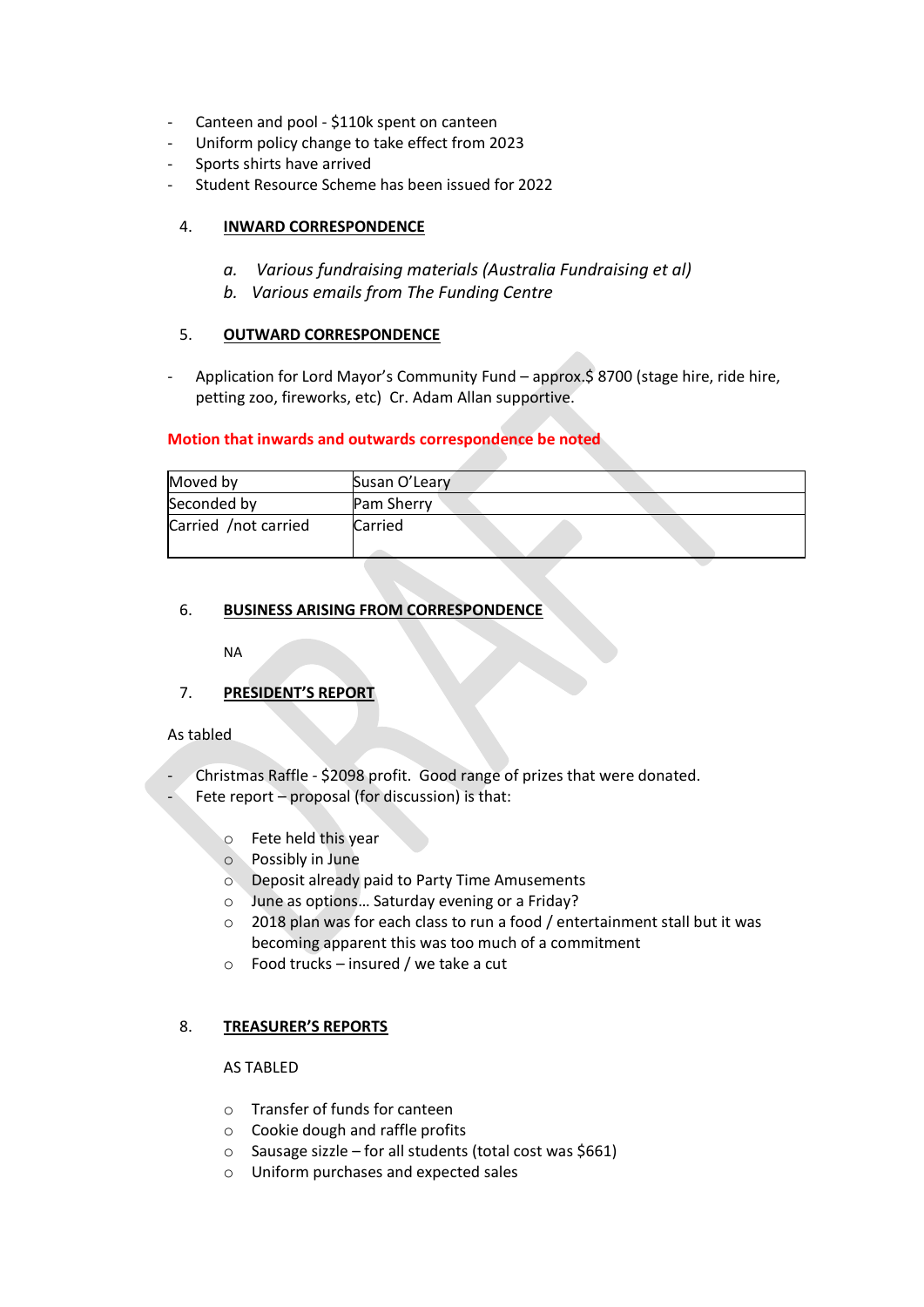- Canteen and pool \$110k spent on canteen
- Uniform policy change to take effect from 2023
- Sports shirts have arrived
- Student Resource Scheme has been issued for 2022

## 4. **INWARD CORRESPONDENCE**

- *a. Various fundraising materials (Australia Fundraising et al)*
- *b. Various emails from The Funding Centre*

### 5. **OUTWARD CORRESPONDENCE**

Application for Lord Mayor's Community Fund – approx.\$ 8700 (stage hire, ride hire, petting zoo, fireworks, etc) Cr. Adam Allan supportive.

### **Motion that inwards and outwards correspondence be noted**

| Moved by             | Susan O'Leary     |  |
|----------------------|-------------------|--|
| Seconded by          | <b>Pam Sherry</b> |  |
| Carried /not carried | Carried           |  |

## 6. **BUSINESS ARISING FROM CORRESPONDENCE**

NA

7. **PRESIDENT'S REPORT**

### As tabled

Christmas Raffle - \$2098 profit. Good range of prizes that were donated. Fete report – proposal (for discussion) is that:

- o Fete held this year
- o Possibly in June
- o Deposit already paid to Party Time Amusements
- o June as options… Saturday evening or a Friday?
- o 2018 plan was for each class to run a food / entertainment stall but it was becoming apparent this was too much of a commitment
- $\circ$  Food trucks insured / we take a cut

# 8. **TREASURER'S REPORTS**

### AS TABLED

- o Transfer of funds for canteen
- o Cookie dough and raffle profits
- o Sausage sizzle for all students (total cost was \$661)
- o Uniform purchases and expected sales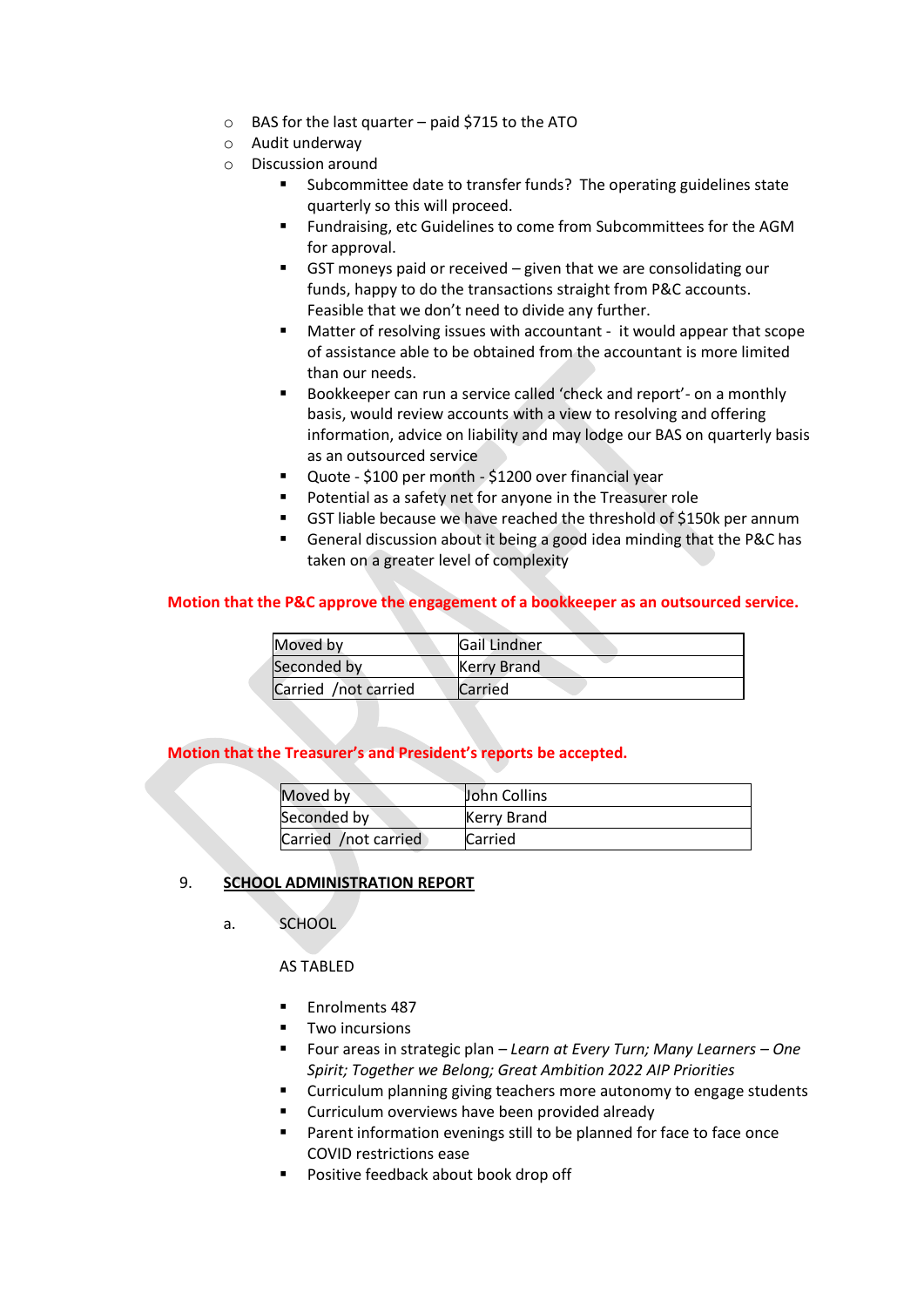- o BAS for the last quarter paid \$715 to the ATO
- o Audit underway
- o Discussion around
	- Subcommittee date to transfer funds? The operating guidelines state quarterly so this will proceed.
	- Fundraising, etc Guidelines to come from Subcommittees for the AGM for approval.
	- $\blacksquare$  GST moneys paid or received given that we are consolidating our funds, happy to do the transactions straight from P&C accounts. Feasible that we don't need to divide any further.
	- Matter of resolving issues with accountant it would appear that scope of assistance able to be obtained from the accountant is more limited than our needs.
	- Bookkeeper can run a service called 'check and report'- on a monthly basis, would review accounts with a view to resolving and offering information, advice on liability and may lodge our BAS on quarterly basis as an outsourced service
	- Quote \$100 per month \$1200 over financial year
	- Potential as a safety net for anyone in the Treasurer role
	- GST liable because we have reached the threshold of \$150k per annum
	- General discussion about it being a good idea minding that the P&C has taken on a greater level of complexity

### **Motion that the P&C approve the engagement of a bookkeeper as an outsourced service.**

| Moved by             | <b>Gail Lindner</b> |
|----------------------|---------------------|
| Seconded by          | Kerry Brand         |
| Carried /not carried | Carried             |

### **Motion that the Treasurer's and President's reports be accepted.**

| Moved by             | <b>John Collins</b> |
|----------------------|---------------------|
| Seconded by          | <b>Kerry Brand</b>  |
| Carried /not carried | <b>Carried</b>      |

### 9. **SCHOOL ADMINISTRATION REPORT**

a. SCHOOL 

AS TABLED

- Enrolments 487
- Two incursions
- Four areas in strategic plan *Learn at Every Turn; Many Learners – One Spirit; Together we Belong; Great Ambition 2022 AIP Priorities*
- Curriculum planning giving teachers more autonomy to engage students
- Curriculum overviews have been provided already
- Parent information evenings still to be planned for face to face once COVID restrictions ease
- Positive feedback about book drop off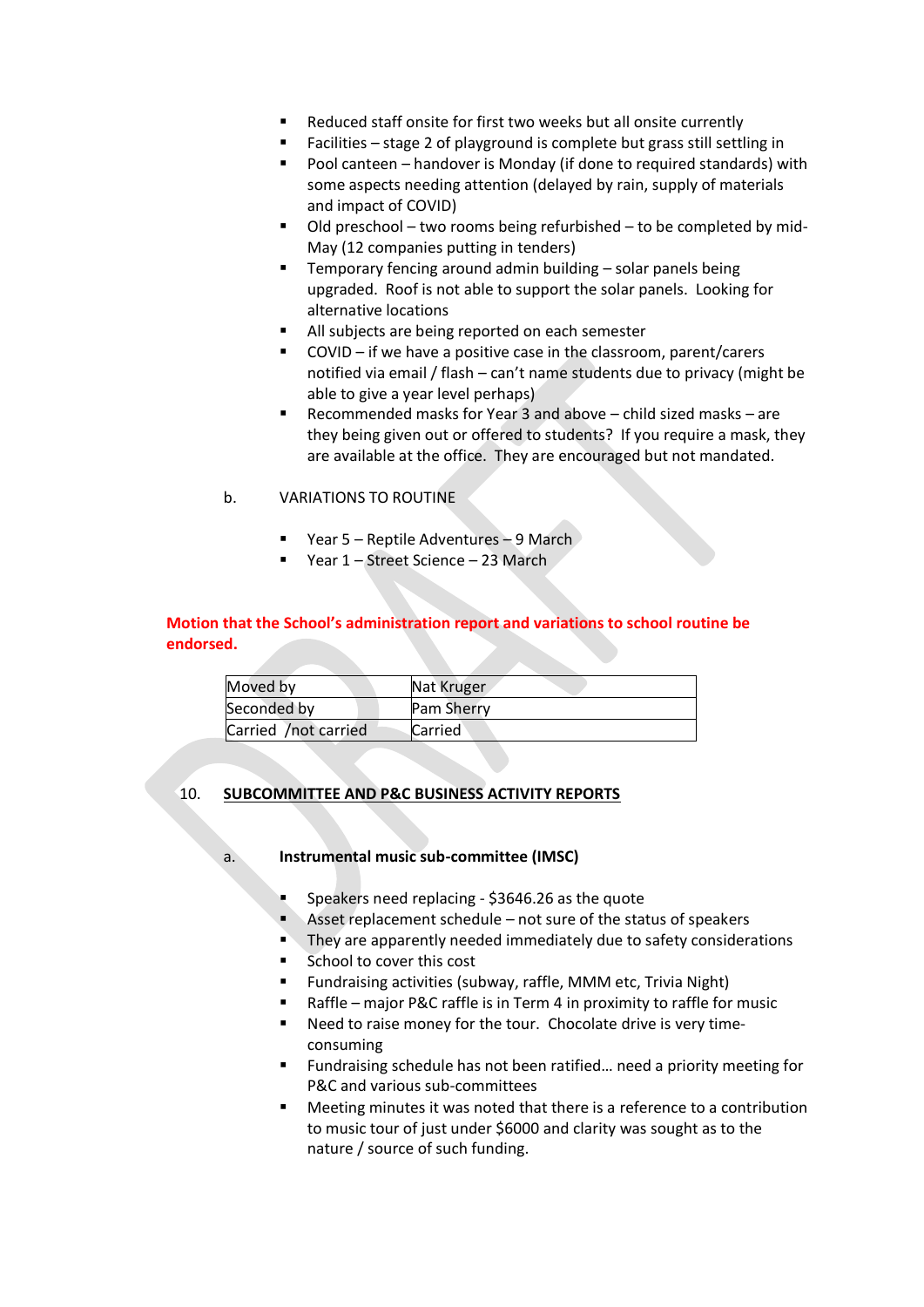- Reduced staff onsite for first two weeks but all onsite currently
- Facilities stage 2 of playground is complete but grass still settling in
- Pool canteen handover is Monday (if done to required standards) with some aspects needing attention (delayed by rain, supply of materials and impact of COVID)
- Old preschool two rooms being refurbished to be completed by mid-May (12 companies putting in tenders)
- Temporary fencing around admin building solar panels being upgraded. Roof is not able to support the solar panels. Looking for alternative locations
- All subjects are being reported on each semester
- COVID if we have a positive case in the classroom, parent/carers notified via email / flash – can't name students due to privacy (might be able to give a year level perhaps)
- Recommended masks for Year 3 and above  $-$  child sized masks  $-$  are they being given out or offered to students? If you require a mask, they are available at the office. They are encouraged but not mandated.

## b. VARIATIONS TO ROUTINE

- Year 5 Reptile Adventures 9 March
- Year 1 Street Science 23 March

## **Motion that the School's administration report and variations to school routine be endorsed.**

| Moved by             | Nat Kruger        |
|----------------------|-------------------|
| Seconded by          | <b>Pam Sherry</b> |
| Carried /not carried | Carried           |

# 10. **SUBCOMMITTEE AND P&C BUSINESS ACTIVITY REPORTS**

### a. **Instrumental music sub-committee (IMSC)**

- Speakers need replacing \$3646.26 as the quote
- Asset replacement schedule  $-$  not sure of the status of speakers
- They are apparently needed immediately due to safety considerations
- School to cover this cost
- Fundraising activities (subway, raffle, MMM etc, Trivia Night)
- Raffle major P&C raffle is in Term 4 in proximity to raffle for music
- Need to raise money for the tour. Chocolate drive is very timeconsuming
- Fundraising schedule has not been ratified... need a priority meeting for P&C and various sub-committees
- Meeting minutes it was noted that there is a reference to a contribution to music tour of just under \$6000 and clarity was sought as to the nature / source of such funding.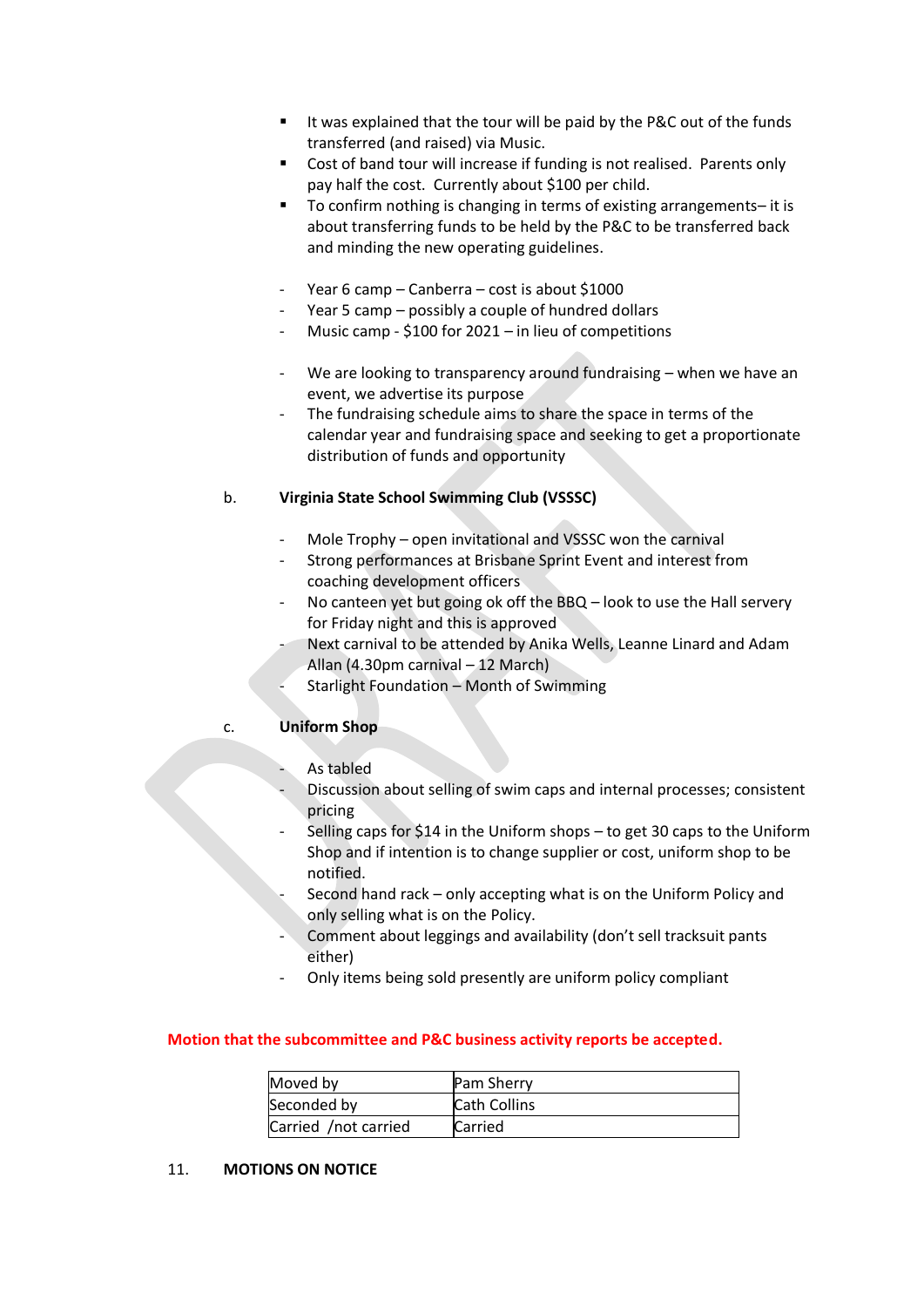- It was explained that the tour will be paid by the P&C out of the funds transferred (and raised) via Music.
- Cost of band tour will increase if funding is not realised. Parents only pay half the cost. Currently about \$100 per child.
- To confirm nothing is changing in terms of existing arrangements- it is about transferring funds to be held by the P&C to be transferred back and minding the new operating guidelines.
- Year 6 camp Canberra cost is about \$1000
- Year 5 camp possibly a couple of hundred dollars
- Music camp  $$100$  for 2021 in lieu of competitions
- We are looking to transparency around fundraising when we have an event, we advertise its purpose
- The fundraising schedule aims to share the space in terms of the calendar year and fundraising space and seeking to get a proportionate distribution of funds and opportunity

## b. **Virginia State School Swimming Club (VSSSC)**

- Mole Trophy open invitational and VSSSC won the carnival
- Strong performances at Brisbane Sprint Event and interest from coaching development officers
- No canteen yet but going ok off the BBQ look to use the Hall servery for Friday night and this is approved
	- Next carnival to be attended by Anika Wells, Leanne Linard and Adam Allan (4.30pm carnival – 12 March)
	- Starlight Foundation Month of Swimming

### c. **Uniform Shop**

- As tabled
- Discussion about selling of swim caps and internal processes; consistent pricing
- Selling caps for \$14 in the Uniform shops to get 30 caps to the Uniform Shop and if intention is to change supplier or cost, uniform shop to be notified.
	- Second hand rack only accepting what is on the Uniform Policy and only selling what is on the Policy.
- Comment about leggings and availability (don't sell tracksuit pants either)
- Only items being sold presently are uniform policy compliant

### **Motion that the subcommittee and P&C business activity reports be accepted.**

| Moved by             | <b>Pam Sherry</b>   |
|----------------------|---------------------|
| Seconded by          | <b>Cath Collins</b> |
| Carried /not carried | Carried             |

## 11. **MOTIONS ON NOTICE**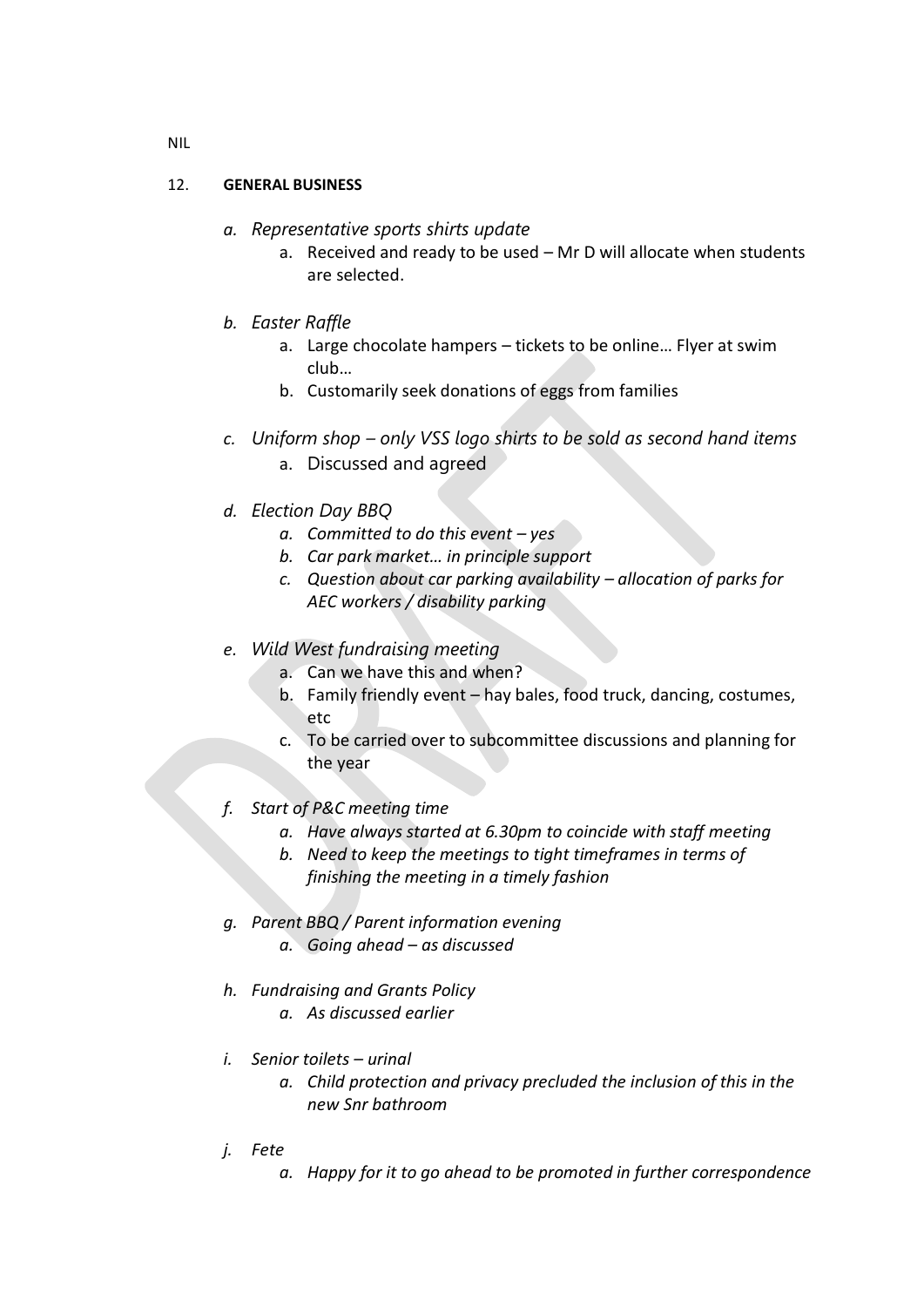# 12. **GENERAL BUSINESS**

- *a. Representative sports shirts update*
	- a. Received and ready to be used Mr D will allocate when students are selected.
- *b. Easter Raffle* 
	- a. Large chocolate hampers tickets to be online… Flyer at swim club…
	- b. Customarily seek donations of eggs from families
- *c. Uniform shop – only VSS logo shirts to be sold as second hand items* a. Discussed and agreed
- *d. Election Day BBQ*
	- *a. Committed to do this event – yes*
	- *b. Car park market… in principle support*
	- *c. Question about car parking availability – allocation of parks for AEC workers / disability parking*
- *e. Wild West fundraising meeting*
	- a. Can we have this and when?
	- b. Family friendly event hay bales, food truck, dancing, costumes, etc
	- c. To be carried over to subcommittee discussions and planning for the year
- *f. Start of P&C meeting time*
	- *a. Have always started at 6.30pm to coincide with staff meeting*
	- *b. Need to keep the meetings to tight timeframes in terms of finishing the meeting in a timely fashion*
- *g. Parent BBQ / Parent information evening a. Going ahead – as discussed*
- *h. Fundraising and Grants Policy a. As discussed earlier*
- *i. Senior toilets – urinal*
	- *a. Child protection and privacy precluded the inclusion of this in the new Snr bathroom*
- *j. Fete*
	- *a. Happy for it to go ahead to be promoted in further correspondence*

NIL